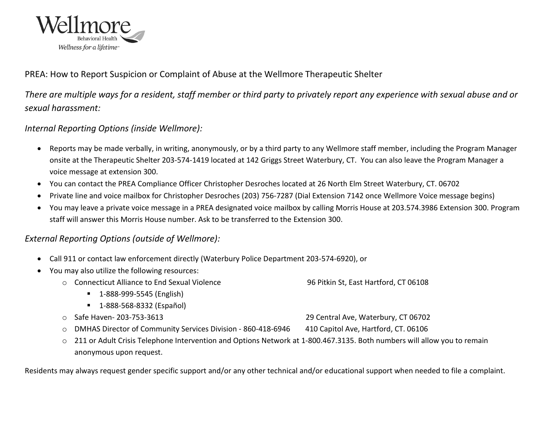

## PREA: How to Report Suspicion or Complaint of Abuse at the Wellmore Therapeutic Shelter

*There are multiple ways for a resident, staff member or third party to privately report any experience with sexual abuse and or sexual harassment:*

## *Internal Reporting Options (inside Wellmore):*

- Reports may be made verbally, in writing, anonymously, or by a third party to any Wellmore staff member, including the Program Manager onsite at the Therapeutic Shelter 203-574-1419 located at 142 Griggs Street Waterbury, CT. You can also leave the Program Manager a voice message at extension 300.
- You can contact the PREA Compliance Officer Christopher Desroches located at 26 North Elm Street Waterbury, CT. 06702
- Private line and voice mailbox for Christopher Desroches (203) 756-7287 (Dial Extension 7142 once Wellmore Voice message begins)
- You may leave a private voice message in a PREA designated voice mailbox by calling Morris House at 203.574.3986 Extension 300. Program staff will answer this Morris House number. Ask to be transferred to the Extension 300.

## *External Reporting Options (outside of Wellmore):*

- Call 911 or contact law enforcement directly (Waterbury Police Department 203-574-6920), or
- You may also utilize the following resources:
	- o Connecticut Alliance to End Sexual Violence 96 Pitkin St, East Hartford, CT 06108
		- 1-888-999-5545 (English)
		- 1-888-568-8332 (Español)
	- o Safe Haven- 203-753-3613 29 Central Ave, Waterbury, CT 06702
	- o DMHAS Director of Community Services Division 860-418-6946 410 Capitol Ave, Hartford, CT. 06106
	- o 211 or Adult Crisis Telephone Intervention and Options Network at 1-800.467.3135. Both numbers will allow you to remain anonymous upon request.

Residents may always request gender specific support and/or any other technical and/or educational support when needed to file a complaint.